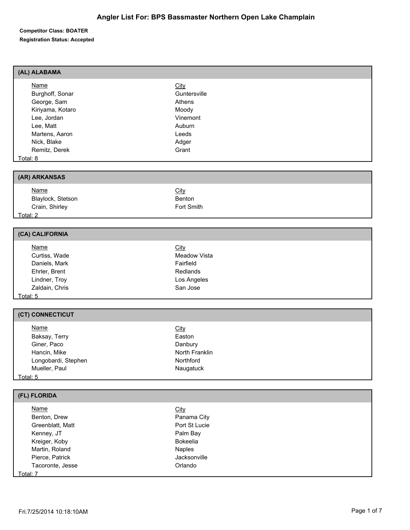| (AL) ALABAMA     |              |  |
|------------------|--------------|--|
| Name             | <b>City</b>  |  |
| Burghoff, Sonar  | Guntersville |  |
| George, Sam      | Athens       |  |
| Kiriyama, Kotaro | Moody        |  |
| Lee, Jordan      | Vinemont     |  |
| Lee, Matt        | Auburn       |  |
| Martens, Aaron   | Leeds        |  |
| Nick, Blake      | Adger        |  |
| Remitz, Derek    | Grant        |  |
| Total: 8         |              |  |
|                  |              |  |
| (AR) ARKANSAS    |              |  |

| <u>Name</u>       | <u>City</u> |  |
|-------------------|-------------|--|
| Blaylock, Stetson | Benton      |  |
| Crain, Shirley    | Fort Smith  |  |
| Total: 2          |             |  |

| (CA) CALIFORNIA |              |  |
|-----------------|--------------|--|
| Name            | City         |  |
| Curtiss, Wade   | Meadow Vista |  |
| Daniels, Mark   | Fairfield    |  |
| Ehrler, Brent   | Redlands     |  |
| Lindner, Troy   | Los Angeles  |  |
| Zaldain, Chris  | San Jose     |  |
| <u>Total: 5</u> |              |  |

## **(CT) CONNECTICUT**

|          | <u>Name</u>         | <b>City</b>    |
|----------|---------------------|----------------|
|          | Baksay, Terry       | Easton         |
|          | Giner, Paco         | Danbury        |
|          | Hancin, Mike        | North Franklin |
|          | Longobardi, Stephen | Northford      |
|          | Mueller, Paul       | Naugatuck      |
| Total: 5 |                     |                |

| (FL) FLORIDA     |                 |  |
|------------------|-----------------|--|
| <u>Name</u>      | <b>City</b>     |  |
| Benton, Drew     | Panama City     |  |
| Greenblatt, Matt | Port St Lucie   |  |
| Kenney, JT       | Palm Bay        |  |
| Kreiger, Koby    | <b>Bokeelia</b> |  |
| Martin, Roland   | <b>Naples</b>   |  |
| Pierce, Patrick  | Jacksonville    |  |
| Tacoronte, Jesse | Orlando         |  |
| Total: 7         |                 |  |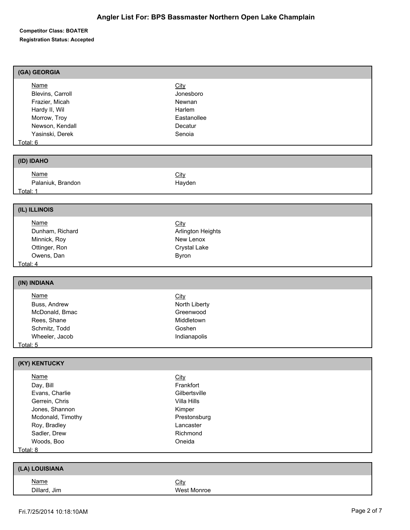| (GA) GEORGIA      |                          |
|-------------------|--------------------------|
| <b>Name</b>       | <b>City</b>              |
| Blevins, Carroll  | Jonesboro                |
| Frazier, Micah    | Newnan                   |
| Hardy II, Wil     | Harlem                   |
|                   |                          |
| Morrow, Troy      | Eastanollee              |
| Newson, Kendall   | Decatur                  |
| Yasinski, Derek   | Senoia                   |
| Total: 6          |                          |
| (ID) IDAHO        |                          |
| <b>Name</b>       | <b>City</b>              |
| Palaniuk, Brandon | Hayden                   |
| Total: 1          |                          |
|                   |                          |
| (IL) ILLINOIS     |                          |
| <b>Name</b>       | City                     |
| Dunham, Richard   | <b>Arlington Heights</b> |
| Minnick, Roy      | New Lenox                |
| Ottinger, Ron     | <b>Crystal Lake</b>      |
| Owens, Dan        | Byron                    |
| Total: 4          |                          |
|                   |                          |
| (IN) INDIANA      |                          |
| <b>Name</b>       | City                     |
| Buss, Andrew      | North Liberty            |
| McDonald, Bmac    | Greenwood                |
| Rees, Shane       | Middletown               |
| Schmitz, Todd     | Goshen                   |
| Wheeler, Jacob    | Indianapolis             |
| Total: 5          |                          |
|                   |                          |
| (KY) KENTUCKY     |                          |
| <b>Name</b>       | <b>City</b>              |
| Day, Bill         | Frankfort                |
| Evans, Charlie    | Gilbertsville            |
| Gerrein, Chris    | Villa Hills              |
| Jones, Shannon    | Kimper                   |
| Mcdonald, Timothy | Prestonsburg             |
| Roy, Bradley      | Lancaster                |
| Sadler, Drew      | Richmond                 |
| Woods, Boo        | Oneida                   |
| Total: 8          |                          |
|                   |                          |
| (LA) LOUISIANA    |                          |
| <b>Name</b>       | City                     |
| Dillard, Jim      | West Monroe              |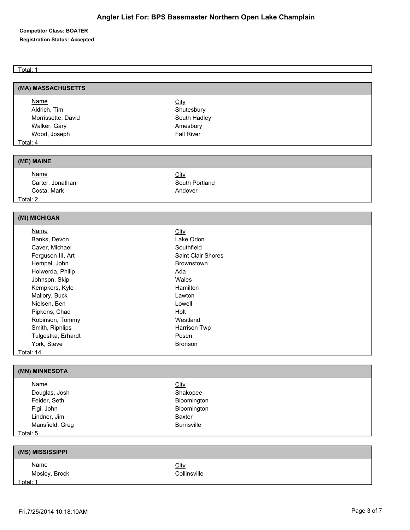Total: 1

| (MA) MASSACHUSETTS |                   |  |
|--------------------|-------------------|--|
| <b>Name</b>        | <b>City</b>       |  |
| Aldrich, Tim       | Shutesbury        |  |
| Morrissette, David | South Hadley      |  |
| Walker, Gary       | Amesbury          |  |
| Wood, Joseph       | <b>Fall River</b> |  |
| Total: 4           |                   |  |
|                    |                   |  |
| (ME) MAINE         |                   |  |
| <b>Name</b>        | <b>City</b>       |  |
| Carter, Jonathan   | South Portland    |  |
| Costa, Mark        | Andover           |  |
| Total: 2           |                   |  |
|                    |                   |  |
| (MI) MICHIGAN      |                   |  |
| <b>Name</b>        | City              |  |
| Banks, Devon       | Lake Orion        |  |

| Banks, Devon       | Lake Orion                |
|--------------------|---------------------------|
| Caver, Michael     | Southfield                |
| Ferguson III, Art  | <b>Saint Clair Shores</b> |
| Hempel, John       | <b>Brownstown</b>         |
| Holwerda, Philip   | Ada                       |
| Johnson, Skip      | Wales                     |
| Kempkers, Kyle     | <b>Hamilton</b>           |
| Mallory, Buck      | Lawton                    |
| Nielsen, Ben       | Lowell                    |
| Pipkens, Chad      | Holt                      |
| Robinson, Tommy    | Westland                  |
| Smith, Ripnlips    | Harrison Twp              |
| Tulgestka, Erhardt | Posen                     |
| York, Steve        | <b>Bronson</b>            |
| Total: 14          |                           |

| (MN) MINNESOTA  |                   |
|-----------------|-------------------|
| <b>Name</b>     | <b>City</b>       |
| Douglas, Josh   | Shakopee          |
| Feider, Seth    | Bloomington       |
| Figi, John      | Bloomington       |
| Lindner, Jim    | Baxter            |
| Mansfield, Greg | <b>Burnsville</b> |
| Total: 5        |                   |

| (MS) MISSISSIPPI             |                             |
|------------------------------|-----------------------------|
| <u>Name</u><br>Mosley, Brock | <b>City</b><br>Collinsville |
| Total: 1                     |                             |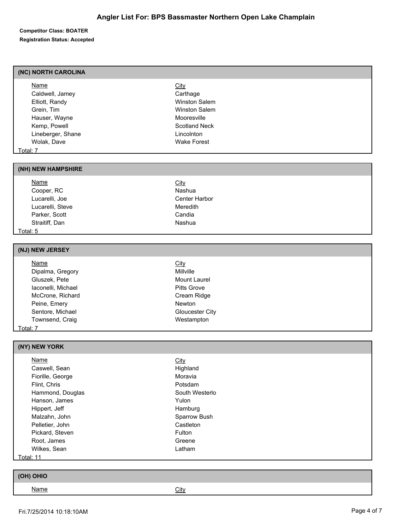Carthage Winston Salem Winston Salem Mooresville Scotland Neck Lincolnton Wake Forest

## **Competitor Class: BOATER Registration Status: Accepted**

## **(NC) NORTH CAROLINA**

| Name              | City |
|-------------------|------|
| Caldwell, Jamey   | Car  |
| Elliott, Randy    | Win  |
| Grein, Tim        | Win  |
| Hauser, Wayne     | Moc  |
| Kemp, Powell      | Sco  |
| Lineberger, Shane | Linc |
| Wolak, Dave       | Wal  |
| Total: 7          |      |

### **(NH) NEW HAMPSHIRE**

Name City Cooper, RC Nashua Lucarelli, Joe Center Harbor Lucarelli, Steve **Meredith** Parker, Scott Candia Straitiff, Dan Nashua Total: 5

### **(NJ) NEW JERSEY**

| Name               | <u>City</u>        |  |
|--------------------|--------------------|--|
| Dipalma, Gregory   | <b>Millville</b>   |  |
| Gluszek, Pete      | Mount Laurel       |  |
| laconelli, Michael | <b>Pitts Grove</b> |  |
| McCrone, Richard   | Cream Ridge        |  |
| Peine, Emery       | Newton             |  |
| Sentore, Michael   | Gloucester City    |  |
| Townsend, Craig    | Westampton         |  |
| Total: 7           |                    |  |

### **(NY) NEW YORK**

| <b>Name</b>      | <b>City</b>    |
|------------------|----------------|
| Caswell, Sean    | Highland       |
| Fiorille, George | Moravia        |
| Flint, Chris     | Potsdam        |
| Hammond, Douglas | South Westerlo |
| Hanson, James    | Yulon          |
| Hippert, Jeff    | Hamburg        |
| Malzahn, John    | Sparrow Bush   |
| Pelletier, John  | Castleton      |
| Pickard, Steven  | Fulton         |
| Root, James      | Greene         |
| Wilkes, Sean     | Latham         |
| $+ -1.44$        |                |

Total: 11

| (OH) OHIO   |      |
|-------------|------|
| <u>Name</u> | City |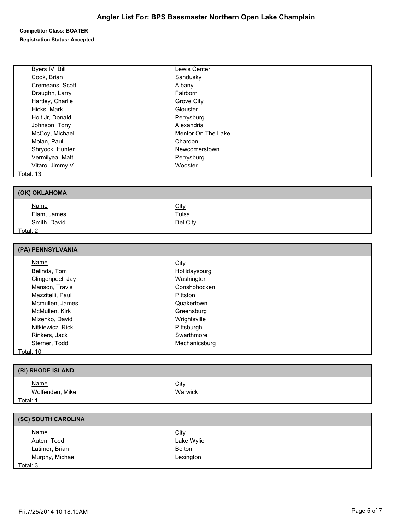## **Angler List For: BPS Bassmaster Northern Open Lake Champlain**

## **Competitor Class: BOATER Registration Status: Accepted**

| Byers IV, Bill    | Lewis Center       |  |
|-------------------|--------------------|--|
| Cook, Brian       | Sandusky           |  |
| Cremeans, Scott   | Albany             |  |
|                   | Fairborn           |  |
| Draughn, Larry    |                    |  |
| Hartley, Charlie  | Grove City         |  |
| Hicks, Mark       | Glouster           |  |
| Holt Jr, Donald   | Perrysburg         |  |
| Johnson, Tony     | Alexandria         |  |
| McCoy, Michael    | Mentor On The Lake |  |
| Molan, Paul       | Chardon            |  |
| Shryock, Hunter   | Newcomerstown      |  |
| Vermilyea, Matt   | Perrysburg         |  |
| Vitaro, Jimmy V.  | Wooster            |  |
| <u> Total: 13</u> |                    |  |
|                   |                    |  |
| (OK) OKLAHOMA     |                    |  |
| <b>Name</b>       | City               |  |
| Elam, James       | Tulsa              |  |
| Smith, David      | Del City           |  |
| <u>Total: 2</u>   |                    |  |
|                   |                    |  |
| (PA) PENNSYLVANIA |                    |  |

| Name             | <b>City</b>   |  |
|------------------|---------------|--|
| Belinda, Tom     | Hollidaysburg |  |
| Clingenpeel, Jay | Washington    |  |
| Manson, Travis   | Conshohocken  |  |
| Mazzitelli, Paul | Pittston      |  |
| Mcmullen, James  | Quakertown    |  |
| McMullen, Kirk   | Greensburg    |  |
| Mizenko, David   | Wrightsville  |  |
| Nitkiewicz, Rick | Pittsburgh    |  |
| Rinkers, Jack    | Swarthmore    |  |
| Sterner, Todd    | Mechanicsburg |  |
| Total: 10        |               |  |

| (RI) RHODE ISLAND              |                        |
|--------------------------------|------------------------|
| <u>Name</u><br>Wolfenden, Mike | <u>City</u><br>Warwick |
| Total: 1                       |                        |

| (SC) SOUTH CAROLINA |             |
|---------------------|-------------|
| <b>Name</b>         | <b>City</b> |
| Auten, Todd         | Lake Wylie  |
| Latimer, Brian      | Belton      |
| Murphy, Michael     | Lexington   |
| Total: 3            |             |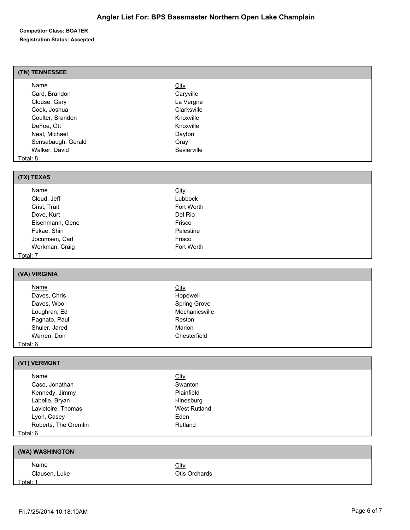## **(TN) TENNESSEE**

| Name               | <b>City</b> |  |
|--------------------|-------------|--|
| Card, Brandon      | Caryville   |  |
| Clouse, Gary       | La Vergne   |  |
| Cook, Joshua       | Clarksville |  |
| Coulter, Brandon   | Knoxville   |  |
| DeFoe, Ott         | Knoxville   |  |
| Neal, Michael      | Dayton      |  |
| Sensabaugh, Gerald | Gray        |  |
| Walker, David      | Sevierville |  |
| Total: 8           |             |  |
|                    |             |  |

| (TX) TEXAS      |             |  |
|-----------------|-------------|--|
| <b>Name</b>     | <b>City</b> |  |
| Cloud, Jeff     | Lubbock     |  |
| Crist, Trait    | Fort Worth  |  |
| Dove, Kurt      | Del Rio     |  |
| Eisenmann, Gene | Frisco      |  |
| Fukae, Shin     | Palestine   |  |
| Jocumsen, Carl  | Frisco      |  |
| Workman, Craig  | Fort Worth  |  |
| Total: 7        |             |  |

# **(VA) VIRGINIA**

| <b>Name</b>         | <u>City</u>         |
|---------------------|---------------------|
| Daves, Chris        | Hopewell            |
| Daves, Woo          | <b>Spring Grove</b> |
| Loughran, Ed        | Mechanicsville      |
| Pagnato, Paul       | Reston              |
| Shuler, Jared       | Marion              |
| Warren, Don         | Chesterfield        |
| $f \circ f \circ f$ |                     |

## Total: 6

## **(VT) VERMONT** Name City Case, Jonathan Swanton Swanton Kennedy, Jimmy **Plainfield** Labelle, Bryan **Hinesburg** Hinesburg Lavictoire, Thomas **West Rutland** Lyon, Casey **Eden** Roberts, The Gremlin Rutland Total: 6

| (WA) WASHINGTON              |                              |
|------------------------------|------------------------------|
| <u>Name</u><br>Clausen, Luke | <b>City</b><br>Otis Orchards |
| Total: 1                     |                              |